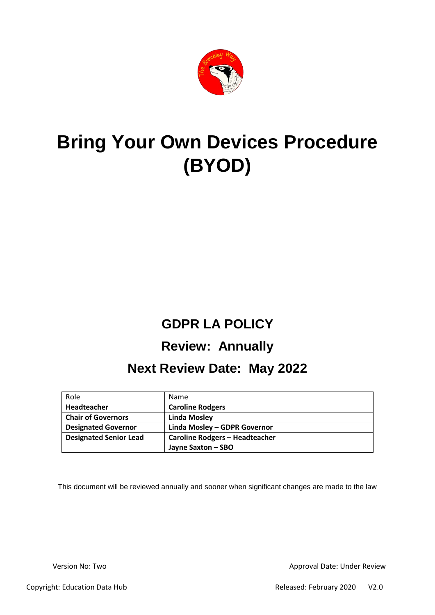

# **Bring Your Own Devices Procedure (BYOD)**

# **GDPR LA POLICY**

# **Review: Annually**

## **Next Review Date: May 2022**

| Role                          | Name                                  |
|-------------------------------|---------------------------------------|
| Headteacher                   | <b>Caroline Rodgers</b>               |
| <b>Chair of Governors</b>     | <b>Linda Mosley</b>                   |
| <b>Designated Governor</b>    | Linda Mosley - GDPR Governor          |
| <b>Designated Senior Lead</b> | <b>Caroline Rodgers - Headteacher</b> |
|                               | Jayne Saxton - SBO                    |

This document will be reviewed annually and sooner when significant changes are made to the law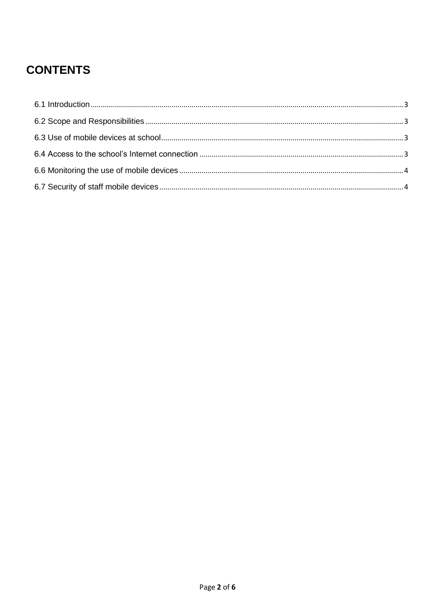## **CONTENTS**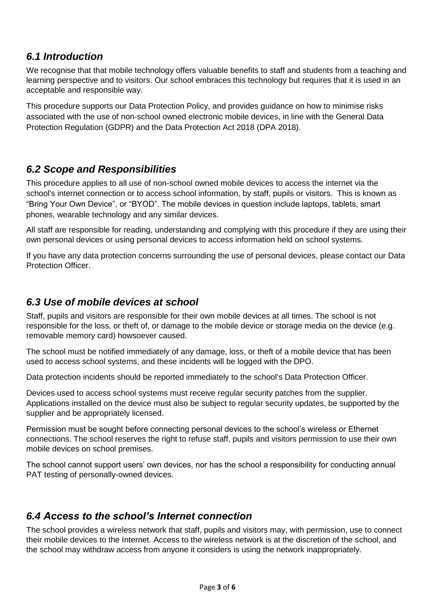#### <span id="page-2-0"></span>*6.1 Introduction*

We recognise that that mobile technology offers valuable benefits to staff and students from a teaching and learning perspective and to visitors. Our school embraces this technology but requires that it is used in an acceptable and responsible way.

This procedure supports our Data Protection Policy, and provides guidance on how to minimise risks associated with the use of non-school owned electronic mobile devices, in line with the General Data Protection Regulation (GDPR) and the Data Protection Act 2018 (DPA 2018).

#### <span id="page-2-1"></span>*6.2 Scope and Responsibilities*

This procedure applies to all use of non-school owned mobile devices to access the internet via the school's internet connection or to access school information, by staff, pupils or visitors. This is known as "Bring Your Own Device", or "BYOD". The mobile devices in question include laptops, tablets, smart phones, wearable technology and any similar devices.

All staff are responsible for reading, understanding and complying with this procedure if they are using their own personal devices or using personal devices to access information held on school systems.

If you have any data protection concerns surrounding the use of personal devices, please contact our Data Protection Officer.

#### <span id="page-2-2"></span>*6.3 Use of mobile devices at school*

Staff, pupils and visitors are responsible for their own mobile devices at all times. The school is not responsible for the loss, or theft of, or damage to the mobile device or storage media on the device (e.g. removable memory card) howsoever caused.

The school must be notified immediately of any damage, loss, or theft of a mobile device that has been used to access school systems, and these incidents will be logged with the DPO.

Data protection incidents should be reported immediately to the school's Data Protection Officer.

Devices used to access school systems must receive regular security patches from the supplier. Applications installed on the device must also be subject to regular security updates, be supported by the supplier and be appropriately licensed.

Permission must be sought before connecting personal devices to the school's wireless or Ethernet connections. The school reserves the right to refuse staff, pupils and visitors permission to use their own mobile devices on school premises.

The school cannot support users' own devices, nor has the school a responsibility for conducting annual PAT testing of personally-owned devices.

#### <span id="page-2-3"></span>*6.4 Access to the school's Internet connection*

The school provides a wireless network that staff, pupils and visitors may, with permission, use to connect their mobile devices to the Internet. Access to the wireless network is at the discretion of the school, and the school may withdraw access from anyone it considers is using the network inappropriately.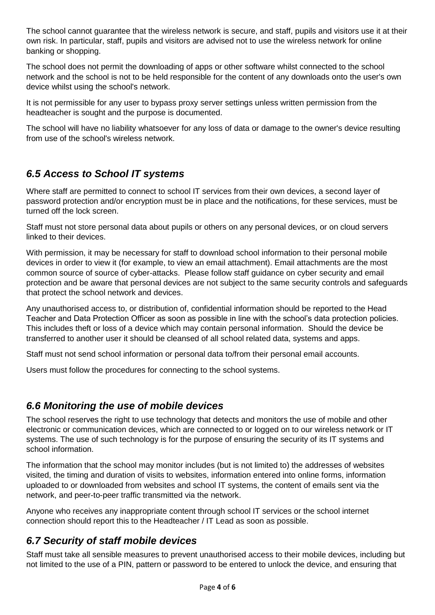The school cannot guarantee that the wireless network is secure, and staff, pupils and visitors use it at their own risk. In particular, staff, pupils and visitors are advised not to use the wireless network for online banking or shopping.

The school does not permit the downloading of apps or other software whilst connected to the school network and the school is not to be held responsible for the content of any downloads onto the user's own device whilst using the school's network.

It is not permissible for any user to bypass proxy server settings unless written permission from the headteacher is sought and the purpose is documented.

The school will have no liability whatsoever for any loss of data or damage to the owner's device resulting from use of the school's wireless network.

#### *6.5 Access to School IT systems*

Where staff are permitted to connect to school IT services from their own devices, a second layer of password protection and/or encryption must be in place and the notifications, for these services, must be turned off the lock screen.

Staff must not store personal data about pupils or others on any personal devices, or on cloud servers linked to their devices.

With permission, it may be necessary for staff to download school information to their personal mobile devices in order to view it (for example, to view an email attachment). Email attachments are the most common source of source of cyber-attacks. Please follow staff guidance on cyber security and email protection and be aware that personal devices are not subject to the same security controls and safeguards that protect the school network and devices.

Any unauthorised access to, or distribution of, confidential information should be reported to the Head Teacher and Data Protection Officer as soon as possible in line with the school's data protection policies. This includes theft or loss of a device which may contain personal information. Should the device be transferred to another user it should be cleansed of all school related data, systems and apps.

Staff must not send school information or personal data to/from their personal email accounts.

Users must follow the procedures for connecting to the school systems.

#### <span id="page-3-0"></span>*6.6 Monitoring the use of mobile devices*

The school reserves the right to use technology that detects and monitors the use of mobile and other electronic or communication devices, which are connected to or logged on to our wireless network or IT systems. The use of such technology is for the purpose of ensuring the security of its IT systems and school information.

The information that the school may monitor includes (but is not limited to) the addresses of websites visited, the timing and duration of visits to websites, information entered into online forms, information uploaded to or downloaded from websites and school IT systems, the content of emails sent via the network, and peer-to-peer traffic transmitted via the network.

Anyone who receives any inappropriate content through school IT services or the school internet connection should report this to the Headteacher / IT Lead as soon as possible.

#### <span id="page-3-1"></span>*6.7 Security of staff mobile devices*

Staff must take all sensible measures to prevent unauthorised access to their mobile devices, including but not limited to the use of a PIN, pattern or password to be entered to unlock the device, and ensuring that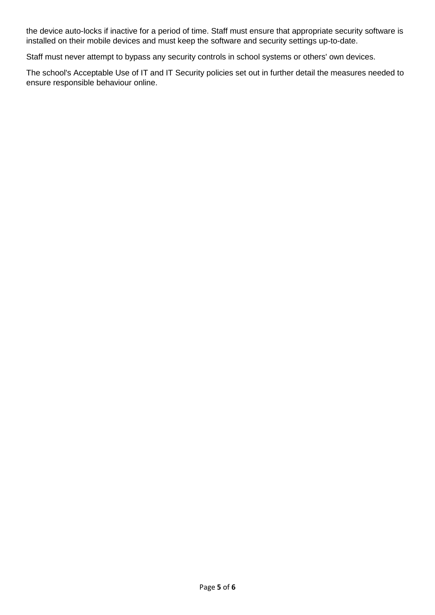the device auto-locks if inactive for a period of time. Staff must ensure that appropriate security software is installed on their mobile devices and must keep the software and security settings up-to-date.

Staff must never attempt to bypass any security controls in school systems or others' own devices.

The school's Acceptable Use of IT and IT Security policies set out in further detail the measures needed to ensure responsible behaviour online.